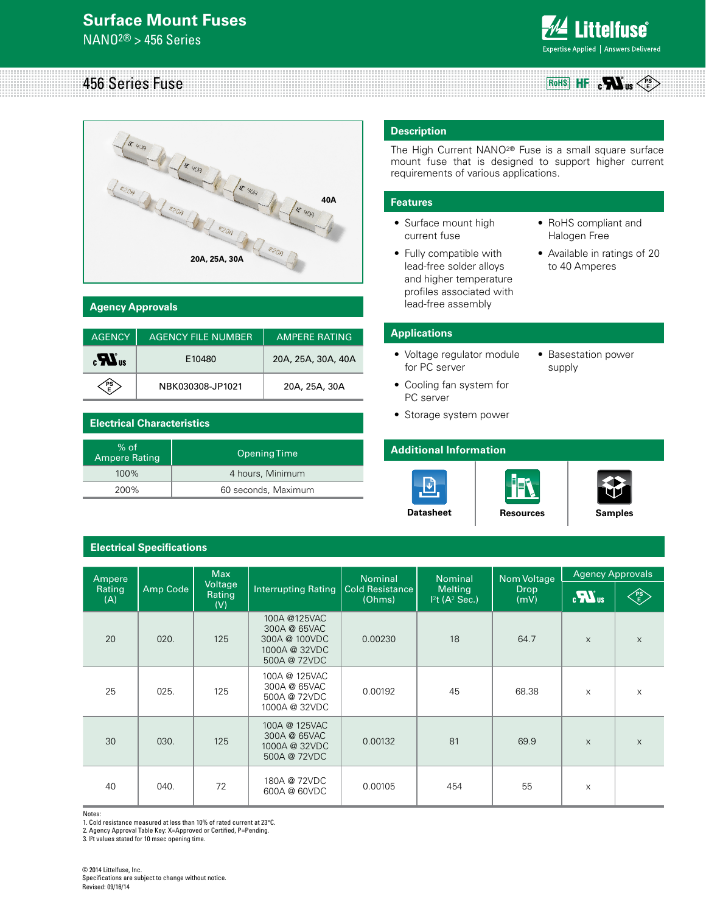## **Surface Mount Fuses**

NANO2® > 456 Series



#### 456 Series Fuse **RoHS PS E**



#### **Agency Approvals**

| <b>AGENCY</b>         | AGENCY FILE NUMBER | <b>AMPERE RATING</b> |  |
|-----------------------|--------------------|----------------------|--|
| $_{c}H$ <sub>us</sub> | E10480             | 20A, 25A, 30A, 40A   |  |
|                       | NBK030308-JP1021   | 20A, 25A, 30A        |  |

#### **Electrical Characteristics**

| $%$ of<br><b>Ampere Rating</b> | Opening Time        |
|--------------------------------|---------------------|
| $100\%$                        | 4 hours, Minimum    |
| 200%                           | 60 seconds, Maximum |

### **Electrical Specifications**

#### **Description**

The High Current NANO2® Fuse is a small square surface mount fuse that is designed to support higher current requirements of various applications.

#### **Features**

- Surface mount high current fuse
- Fully compatible with lead-free solder alloys and higher temperature profiles associated with lead-free assembly
- • RoHS compliant and Halogen Free
- • Available in ratings of 20 to 40 Amperes

#### **Applications**

- • Voltage regulator module for PC server
- Basestation power supply
- Cooling fan system for PC server
- Storage system power

#### **Additional Information**







**[Datasheet](http://www.littelfuse.com/products/fuses/surface-mount-fuses/nano-2-fuses/~/media/Files/Littelfuse/Technical%20Resources/Documents/Data%20Sheets/Littelfuse_Fuse_456.pdf)** | [Resources](http://www.littelfuse.com/products/fuses/surface-mount-fuses/nano-2-fuses/456.aspx#TechnicalResources) | [Samples](http://www.littelfuse.com/products/fuses/surface-mount-fuses/nano-2-fuses/456.aspx#ElectricalCharacteristics)

| Ampere        |          | <b>Max</b>               |                                                                                | <b>Nominal</b>                   | <b>Nominal</b>                                           | Nom Voltage         | <b>Agency Approvals</b> |           |
|---------------|----------|--------------------------|--------------------------------------------------------------------------------|----------------------------------|----------------------------------------------------------|---------------------|-------------------------|-----------|
| Rating<br>(A) | Amp Code | Voltage<br>Rating<br>(V) | <b>Interrupting Rating</b>                                                     | <b>Cold Resistance</b><br>(Ohms) | <b>Melting</b><br>I <sup>2</sup> t (A <sup>2</sup> Sec.) | <b>Drop</b><br>(mV) | $\boldsymbol{u}$        | <b>PS</b> |
| 20            | 020.     | 125                      | 100A @125VAC<br>300A @ 65VAC<br>300A @ 100VDC<br>1000A @ 32VDC<br>500A @ 72VDC | 0.00230                          | 18                                                       | 64.7                | X                       | $\times$  |
| 25            | 025.     | 125                      | 100A @ 125VAC<br>300A @ 65VAC<br>500A @ 72VDC<br>1000A @ 32VDC                 | 0.00192                          | 45                                                       | 68.38               | $\mathsf{x}$            | $\times$  |
| 30            | 030.     | 125                      | 100A @ 125VAC<br>300A @ 65VAC<br>1000A @ 32VDC<br>500A @ 72VDC                 | 0.00132                          | 81                                                       | 69.9                | $\times$                | $\times$  |
| 40            | 040.     | 72                       | 180A @ 72VDC<br>600A @ 60VDC                                                   | 0.00105                          | 454                                                      | 55                  | X                       |           |

Notes:

1. Cold resistance measured at less than 10% of rated current at 23°C.

2. Agency Approval Table Key: X=Approved or Certified, P=Pending.

3. I<sup>2</sup>t values stated for 10 msec opening time.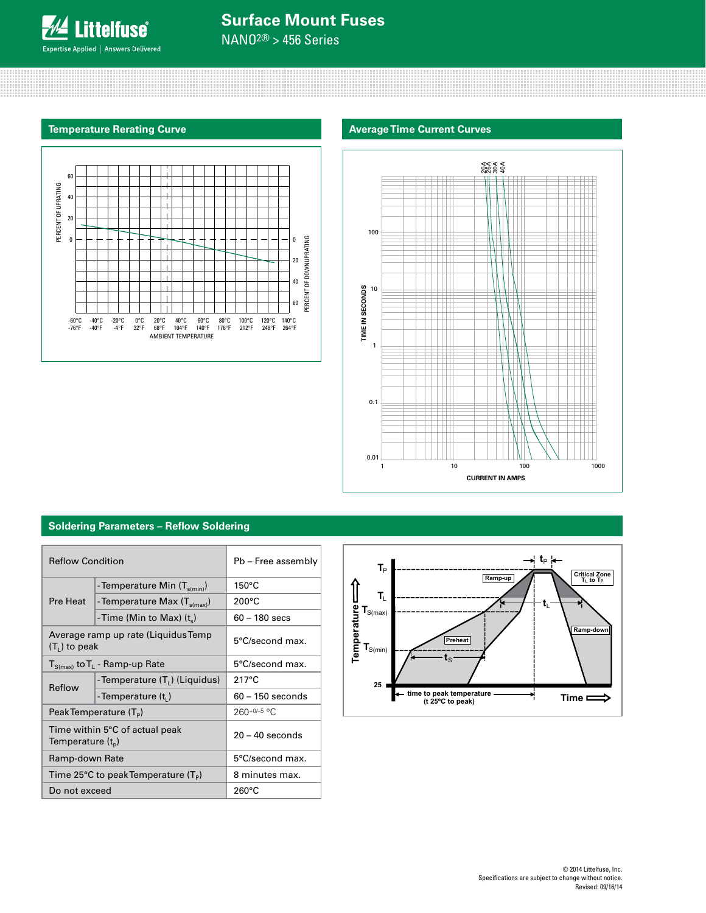

NANO2® > 456 Series





### **Soldering Parameters – Reflow Soldering**

| <b>Reflow Condition</b>                                   |                                           | Pb - Free assembly |  |
|-----------------------------------------------------------|-------------------------------------------|--------------------|--|
|                                                           | - Temperature Min $(T_{s(min)})$          | $150^{\circ}$ C    |  |
| Pre Heat                                                  | - Temperature Max $(T_{s(max)})$          | $200^{\circ}$ C    |  |
|                                                           | - Time (Min to Max) $(t_s)$               | $60 - 180$ secs    |  |
| $(T1)$ to peak                                            | Average ramp up rate (Liquidus Temp       | 5°C/second max.    |  |
| $T_{S(max)}$ to $T_L$ - Ramp-up Rate                      |                                           | 5°C/second max.    |  |
|                                                           | -Temperature (T <sub>1</sub> ) (Liquidus) | $217^{\circ}$ C    |  |
| Reflow                                                    | -Temperature (t,)                         | $60 - 150$ seconds |  |
| Peak Temperature $(T_P)$                                  |                                           | $260+0/-5$ °C      |  |
| Temperature $(t_n)$                                       | Time within 5°C of actual peak            | $20 - 40$ seconds  |  |
| Ramp-down Rate                                            |                                           | 5°C/second max.    |  |
| Time 25 $\degree$ C to peak Temperature (T <sub>p</sub> ) |                                           | 8 minutes max.     |  |
| Do not exceed                                             |                                           | $260^{\circ}$ C    |  |